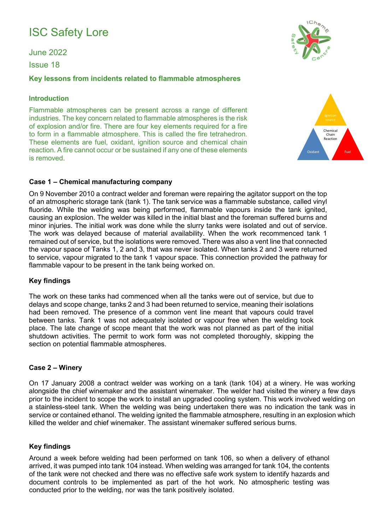# ISC Safety Lore

June 2022

Issue 18

## **Key lessons from incidents related to flammable atmospheres**

## **Introduction**

Flammable atmospheres can be present across a range of different industries. The key concern related to flammable atmospheres is the risk of explosion and/or fire. There are four key elements required for a fire to form in a flammable atmosphere. This is called the fire tetrahedron. These elements are fuel, oxidant, ignition source and chemical chain reaction. A fire cannot occur or be sustained if any one of these elements is removed.

#### **Case 1 – Chemical manufacturing company**

On 9 November 2010 a contract welder and foreman were repairing the agitator support on the top of an atmospheric storage tank (tank 1). The tank service was a flammable substance, called vinyl fluoride. While the welding was being performed, flammable vapours inside the tank ignited, causing an explosion. The welder was killed in the initial blast and the foreman suffered burns and minor injuries. The initial work was done while the slurry tanks were isolated and out of service. The work was delayed because of material availability. When the work recommenced tank 1 remained out of service, but the isolations were removed. There was also a vent line that connected the vapour space of Tanks 1, 2 and 3, that was never isolated. When tanks 2 and 3 were returned to service, vapour migrated to the tank 1 vapour space. This connection provided the pathway for flammable vapour to be present in the tank being worked on.

## **Key findings**

The work on these tanks had commenced when all the tanks were out of service, but due to delays and scope change, tanks 2 and 3 had been returned to service, meaning their isolations had been removed. The presence of a common vent line meant that vapours could travel between tanks. Tank 1 was not adequately isolated or vapour free when the welding took place. The late change of scope meant that the work was not planned as part of the initial shutdown activities. The permit to work form was not completed thoroughly, skipping the section on potential flammable atmospheres.

#### **Case 2 – Winery**

On 17 January 2008 a contract welder was working on a tank (tank 104) at a winery. He was working alongside the chief winemaker and the assistant winemaker. The welder had visited the winery a few days prior to the incident to scope the work to install an upgraded cooling system. This work involved welding on a stainless-steel tank. When the welding was being undertaken there was no indication the tank was in service or contained ethanol. The welding ignited the flammable atmosphere, resulting in an explosion which killed the welder and chief winemaker. The assistant winemaker suffered serious burns.

## **Key findings**

Around a week before welding had been performed on tank 106, so when a delivery of ethanol arrived, it was pumped into tank 104 instead. When welding was arranged for tank 104, the contents of the tank were not checked and there was no effective safe work system to identify hazards and document controls to be implemented as part of the hot work. No atmospheric testing was conducted prior to the welding, nor was the tank positively isolated.